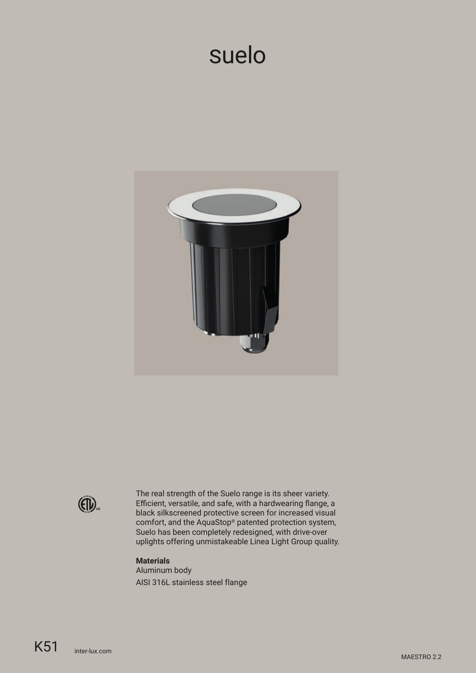# suelo



 $(4)$ 

The real strength of the Suelo range is its sheer variety. Efficient, versatile, and safe, with a hardwearing flange, a black silkscreened protective screen for increased visual comfort, and the AquaStop® patented protection system, Suelo has been completely redesigned, with drive-over uplights offering unmistakeable Linea Light Group quality.

#### **Materials**

Aluminum body AISI 316L stainless steel flange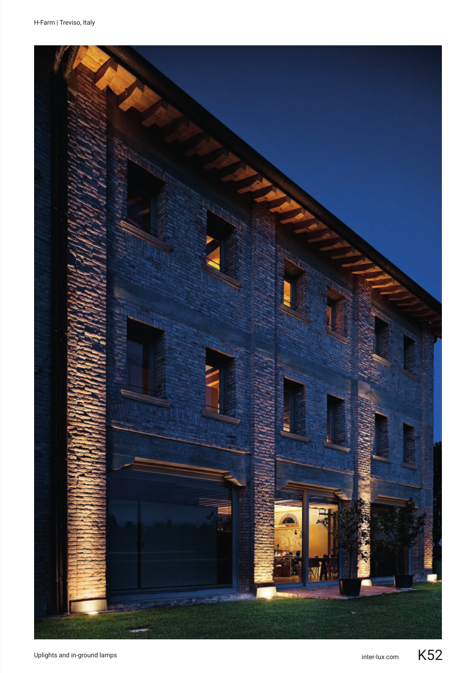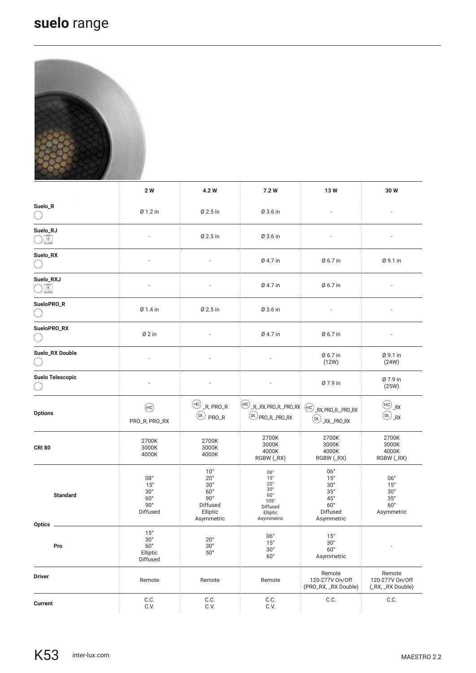## **suelo** range



|                |                         | 2 W                                                                            | 4.2 W                                                                                                          | 7.2 W                                                                                                                | 13W                                                                                                                | 30W                                                                              |
|----------------|-------------------------|--------------------------------------------------------------------------------|----------------------------------------------------------------------------------------------------------------|----------------------------------------------------------------------------------------------------------------------|--------------------------------------------------------------------------------------------------------------------|----------------------------------------------------------------------------------|
| Suelo_R        |                         | Ø 1.2 in                                                                       | Ø 2.5 in                                                                                                       | Ø 3.6 in                                                                                                             |                                                                                                                    |                                                                                  |
| Suelo_RJ<br>Æ  |                         |                                                                                | Ø 2.5 in                                                                                                       | Ø 3.6 in                                                                                                             |                                                                                                                    |                                                                                  |
| Suelo_RX       |                         |                                                                                |                                                                                                                | Ø 4.7 in                                                                                                             | Ø 6.7 in                                                                                                           | Ø 9.1 in                                                                         |
| Suelo_RXJ<br>凰 |                         |                                                                                |                                                                                                                | Ø 4.7 in                                                                                                             | Ø 6.7 in                                                                                                           |                                                                                  |
| SueloPRO_R     |                         | Ø 1.4 in                                                                       | Ø 2.5 in                                                                                                       | Ø 3.6 in                                                                                                             | $\overline{a}$                                                                                                     |                                                                                  |
| SueloPRO_RX    |                         | $Ø2$ in                                                                        |                                                                                                                | Ø 4.7 in                                                                                                             | Ø 6.7 in                                                                                                           |                                                                                  |
|                | Suelo_RX Double         |                                                                                |                                                                                                                |                                                                                                                      | Ø 6.7 in<br>(12W)                                                                                                  | Ø 9.1 in<br>(24W)                                                                |
|                | <b>Suelo Telescopic</b> |                                                                                |                                                                                                                |                                                                                                                      | Ø 7.9 in                                                                                                           | Ø 7.9 in<br>(25W)                                                                |
| <b>Options</b> |                         | (HC)<br>PRO_R, PRO_RX                                                          | $(HC)$ <sub>R</sub> , PRO_R<br>$(DL)$ PRO_R                                                                    | $H_{\text{R}}$ R, RX, PRO R, PRO RX $H_{\text{R}}$ RX, PRO R, PRO RX<br>$(DL)$ PRO_R, _PRO_RX                        | $(\mathsf{DL})$<br>_RX, _PRO_RX                                                                                    | $H_{\text{HC}}$<br>$(\mathsf{d})$<br>RX                                          |
| <b>CRI 80</b>  |                         | 2700K<br>3000K<br>4000K                                                        | 2700K<br>3000K<br>4000K                                                                                        | 2700K<br>3000K<br>4000K<br>RGBW (_RX)                                                                                | 2700K<br>3000K<br>4000K<br>RGBW (_RX)                                                                              | 2700K<br>3000K<br>4000K<br>RGBW (_RX)                                            |
|                | <b>Standard</b>         | 08°<br>$15^{\circ}$<br>30 <sup>°</sup><br>$60^\circ$<br>$90^\circ$<br>Diffused | $10^{\circ}$<br>$20^{\circ}$<br>$30^\circ$<br>$60^\circ$<br>$90^{\circ}$<br>Diffused<br>Elliptic<br>Asymmetric | 06°<br>$15^{\circ}$<br>$20^{\circ}$<br>$30^\circ$<br>$60^\circ$<br>$105^\circ$<br>Diffused<br>Elliptic<br>Asymmetric | $06^{\circ}$<br>$15^{\circ}$<br>$30^\circ$<br>$35^\circ$<br>$45^{\circ}$<br>$60^{\circ}$<br>Diffused<br>Asymmetric | 06°<br>$15^{\circ}$<br>30 <sup>°</sup><br>$35^\circ$<br>$60^\circ$<br>Asymmetric |
| Optics         | Pro                     | $15^\circ$<br>$30^{\circ}$<br>$60^{\circ}$<br>Elliptic<br>Diffused             | $20^{\circ}$<br>$30^{\circ}$<br>$50^\circ$                                                                     | 06°<br>$15^{\circ}$<br>$30^{\circ}$<br>$60^\circ$                                                                    | $15^{\circ}$<br>$30^{\circ}$<br>$60^{\circ}$<br>Asymmetric                                                         | $\overline{\phantom{a}}$                                                         |
| <b>Driver</b>  |                         | Remote                                                                         | Remote                                                                                                         | Remote                                                                                                               | Remote<br>120-277V On/Off<br>(PRO_RX, _RX Double)                                                                  | Remote<br>120-277V On/Off<br>(_RX, _RX Double)                                   |
| Current        |                         | C.C.<br>C.V.                                                                   | C.C.<br>C.V.                                                                                                   | $C.C.$<br>C.V.                                                                                                       | C.C.                                                                                                               | C.C.                                                                             |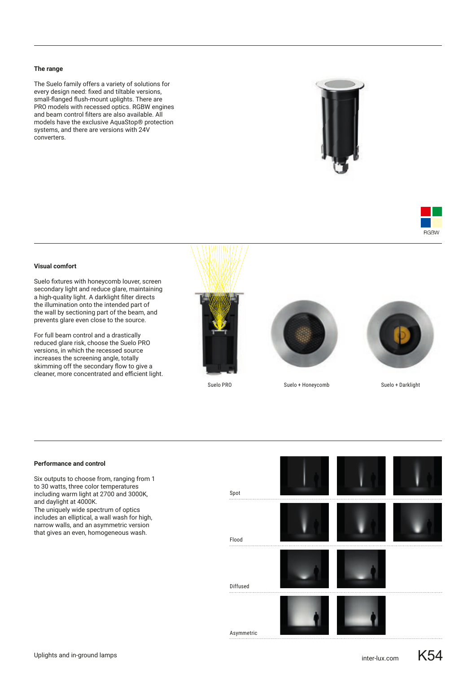#### **The range**

The Suelo family offers a variety of solutions for every design need: fixed and tiltable versions, small-flanged flush-mount uplights. There are PRO models with recessed optics. RGBW engines and beam control filters are also available. All models have the exclusive AquaStop® protection systems, and there are versions with 24V converters.





#### **Visual comfort**

Suelo fixtures with honeycomb louver, screen secondary light and reduce glare, maintaining a high-quality light. A darklight filter directs the illumination onto the intended part of the wall by sectioning part of the beam, and prevents glare even close to the source.

For full beam control and a drastically reduced glare risk, choose the Suelo PRO versions, in which the recessed source increases the screening angle, totally skimming off the secondary flow to give a cleaner, more concentrated and efficient light.







Suelo PRO Suelo + Honeycomb Suelo + Darklight



#### **Performance and control**

Six outputs to choose from, ranging from 1 to 30 watts, three color temperatures including warm light at 2700 and 3000K, and daylight at 4000K. The uniquely wide spectrum of optics includes an elliptical, a wall wash for high, narrow walls, and an asymmetric version that gives an even, homogeneous wash.

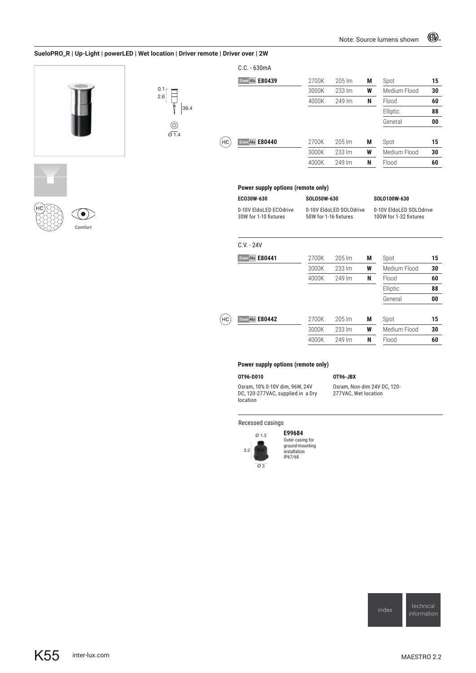#### **SueloPRO\_R | Up-Light | powerLED | Wet location | Driver remote | Driver over | 2W**



| $0.1 -$<br>2.6   |  |
|------------------|--|
| 39.4             |  |
| r                |  |
| $\frac{6}{91.4}$ |  |

|    | $C.C. - 630mA$   |       |                   |   |              |    |
|----|------------------|-------|-------------------|---|--------------|----|
|    | Steel Alu E80439 | 2700K | $205 \mathrm{Im}$ | М | Spot         | 15 |
|    |                  | 3000K | 233 lm            | W | Medium Flood | 30 |
|    |                  | 4000K | 249 lm            | N | Flood        | 60 |
|    |                  |       |                   |   | Elliptic     | 88 |
|    |                  |       |                   |   | General      | 00 |
|    |                  |       |                   |   |              |    |
| HC | Steel Alu E80440 | 2700K | $205 \mathrm{Im}$ | М | Spot         | 15 |
|    |                  | 3000K | 233 lm            | W | Medium Flood | 30 |
|    |                  | 4000K | 249 lm            | N | Flood        | 60 |







0-10V EldoLED ECOdrive 30W for 1-10 fixtures 0-10V EldoLED SOLOdrive 50W for 1-16 fixtures

**ECO30W-630 SOLO50W-630 SOLO100W-630**

0-10V EldoLED SOLOdrive 100W for 1-32 fixtures

|                | $C.V. - 24V$    |       |        |   |              |    |
|----------------|-----------------|-------|--------|---|--------------|----|
|                | Stee Alu E80441 | 2700K | 205 lm | M | Spot         | 15 |
|                |                 | 3000K | 233 lm | W | Medium Flood | 30 |
|                |                 | 4000K | 249 lm | N | Flood        | 60 |
|                |                 |       |        |   | Elliptic     | 88 |
|                |                 |       |        |   | General      | 00 |
|                |                 |       |        |   |              |    |
| H <sub>C</sub> | Stee Alu E80442 | 2700K | 205 lm | M | Spot         | 15 |
|                |                 | 3000K | 233 lm | W | Medium Flood | 30 |
|                |                 | 4000K | 249 lm | N | Flood        | 60 |

#### **Power supply options (remote only)**

#### **OT96-D010 OT96-JBX**

Osram, 10% 0-10V dim, 96W, 24V DC, 120-277VAC, supplied in a Dry location

Osram, Non-dim 24V DC, 120- 277VAC, Wet location

Recessed casings



**E99684** Outer casing for ground-mounting installation IP67/68

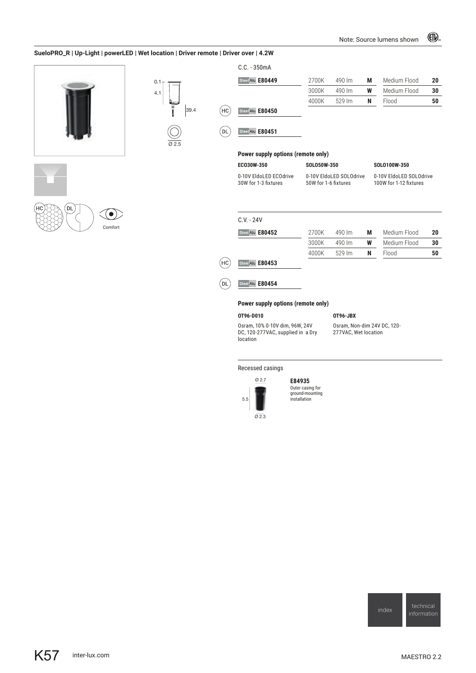#### **SueloPRO\_R | Up-Light | powerLED | Wet location | Driver remote | Driver over | 4.2W**

4.1 0.1

Ø 2.5





Comfort

|      |             | $C.C. - 350mA$                     |                                                 |          |   |                                                   |                |  |
|------|-------------|------------------------------------|-------------------------------------------------|----------|---|---------------------------------------------------|----------------|--|
|      |             | Stee Alu E80449                    | 2700K                                           | 490 lm   | М | Medium Flood                                      | 20             |  |
|      |             |                                    | 3000K                                           | 490 lm   | W | Medium Flood                                      | 30             |  |
|      |             |                                    | 4000K                                           | 529 lm   | N | Flood                                             | 50             |  |
| 39.4 | $H_{\rm C}$ | Stee Alu E80450                    |                                                 |          |   |                                                   |                |  |
|      | DL          | Stee Alu E80451                    |                                                 |          |   |                                                   |                |  |
|      |             | Power supply options (remote only) |                                                 |          |   |                                                   |                |  |
|      |             | EC030W-350                         | SOLO50W-350                                     |          |   | SOLO100W-350                                      |                |  |
|      |             | 0-10V EldoLED ECOdrive             | 0-10V EldoLED SOLOdrive<br>50W for 1-6 fixtures |          |   | 0-10V EldoLED SOLOdrive<br>100W for 1-12 fixtures |                |  |
|      |             | 30W for 1-3 fixtures               |                                                 |          |   |                                                   |                |  |
|      |             | $C.V. - 24V$                       |                                                 |          |   |                                                   |                |  |
|      |             | Steel Alu E80452                   | 2700K                                           | 490 lm   | М | Medium Flood                                      |                |  |
|      |             |                                    | 3000K                                           | 490 lm   | W | Medium Flood                                      |                |  |
|      |             |                                    | 4000K                                           | 529 lm   | N | Flood                                             |                |  |
|      | HC          | Steel Alu E80453                   |                                                 |          |   |                                                   |                |  |
|      | DL          | Steel Alu E80454                   |                                                 |          |   |                                                   |                |  |
|      |             | Power supply options (remote only) |                                                 |          |   |                                                   |                |  |
|      |             | OT96-D010                          |                                                 | OT96-JBX |   |                                                   | 20<br>30<br>50 |  |

Recessed casings



location

**E84935** Outer casing for ground-mounting installation

index technical<br>[information](https://www.inter-lux.com/family-category/suelo/)